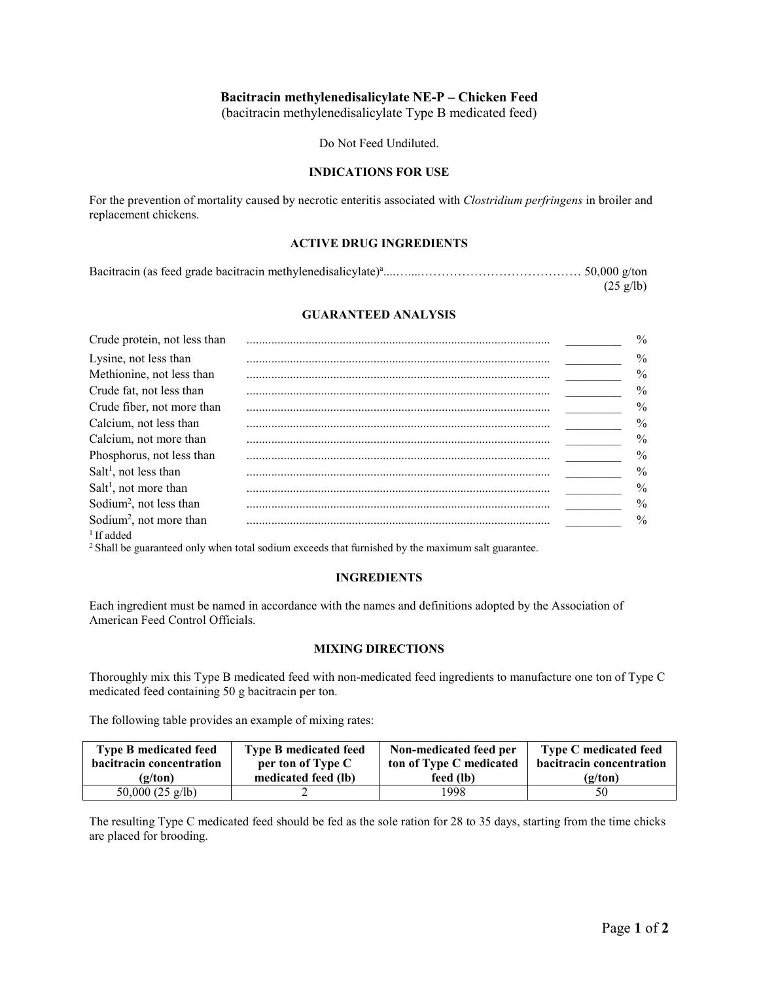## **Bacitracin methylenedisalicylate NE-P – Chicken Feed**

(bacitracin methylenedisalicylate Type B medicated feed)

Do Not Feed Undiluted.

#### **INDICATIONS FOR USE**

For the prevention of mortality caused by necrotic enteritis associated with *Clostridium perfringens* in broiler and replacement chickens.

#### **ACTIVE DRUG INGREDIENTS**

| $(25 \text{ g/lb})$ |
|---------------------|

### **GUARANTEED ANALYSIS**

| Crude protein, not less than        | $\frac{0}{0}$ |
|-------------------------------------|---------------|
| Lysine, not less than               | $\frac{0}{0}$ |
| Methionine, not less than           | $\frac{0}{0}$ |
| Crude fat, not less than            | $\frac{0}{0}$ |
| Crude fiber, not more than          | $\frac{0}{0}$ |
| Calcium, not less than              | $\frac{0}{0}$ |
| Calcium, not more than              | $\frac{0}{0}$ |
| Phosphorus, not less than           | $\frac{0}{0}$ |
| $Salt1$ , not less than             | $\%$          |
| $Salt1$ , not more than             | $\frac{0}{0}$ |
| Sodium <sup>2</sup> , not less than | $\frac{0}{0}$ |
| Sodium <sup>2</sup> , not more than | $\frac{0}{0}$ |
| $1$ If added                        |               |

<sup>2</sup> Shall be guaranteed only when total sodium exceeds that furnished by the maximum salt guarantee.

### **INGREDIENTS**

Each ingredient must be named in accordance with the names and definitions adopted by the Association of American Feed Control Officials.

### **MIXING DIRECTIONS**

Thoroughly mix this Type B medicated feed with non-medicated feed ingredients to manufacture one ton of Type C medicated feed containing 50 g bacitracin per ton.

The following table provides an example of mixing rates:

| <b>Type B medicated feed</b> | <b>Type B medicated feed</b> | Non-medicated feed per  | <b>Type C</b> medicated feed    |
|------------------------------|------------------------------|-------------------------|---------------------------------|
| bacitracin concentration     | per ton of Type C            | ton of Type C medicated | <b>bacitracin concentration</b> |
| (g/ton)                      | medicated feed (lb)          | feed (lb)               | (g/ton)                         |
| 50,000 $(25 \text{ g/lb})$   |                              | 1998                    | 50                              |

The resulting Type C medicated feed should be fed as the sole ration for 28 to 35 days, starting from the time chicks are placed for brooding.